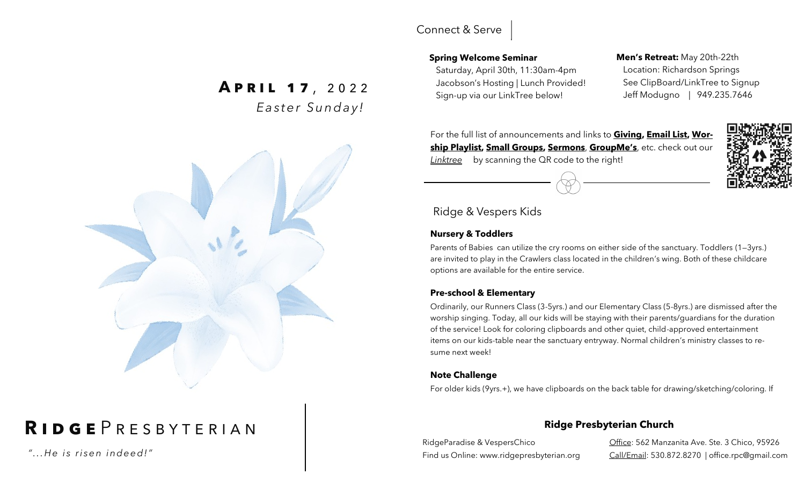### Connect & Serve

### **Spring Welcome Seminar**

 Saturday, April 30th, 11:30am-4pm Jacobson's Hosting | Lunch Provided!

### **Men's Retreat:** May 20th-22th Location: Richardson Springs See ClipBoard/LinkTree to Signup Jeff Modugno | 949.235.7646

For the full list of announcements and links to **Giving, Email List, Worship Playlist, Small Groups, Sermons**, **GroupMe's**, etc. check out our *Linktree* by scanning the QR code to the right!

### Ridge & Vespers Kids

### **Nursery & Toddlers**

Parents of Babies can utilize the cry rooms on either side of the sanctuary. Toddlers (1—3yrs.) are invited to play in the Crawlers class located in the children's wing. Both of these childcare options are available for the entire service.

### **Pre-school & Elementary**

Ordinarily, our Runners Class (3-5yrs.) and our Elementary Class (5-8yrs.) are dismissed after the worship singing. Today, all our kids will be staying with their parents/guardians for the duration of the service! Look for coloring clipboards and other quiet, child-approved entertainment items on our kids-table near the sanctuary entryway. Normal children's ministry classes to resume next week!

### **Note Challenge**

For older kids (9yrs.+), we have clipboards on the back table for drawing/sketching/coloring. If

### **Ridge Presbyterian Church**

RidgeParadise & VespersChico Find us Online: www.ridgepresbyterian.org

Office: 562 Manzanita Ave. Ste. 3 Chico, 95926 Call/Email: 530.872.8270 | office.rpc@gmail.com

# Sign-up via our LinkTree below!<br>Sign-up via our LinkTree below! *E a s t e r S u n d a y !*



# **R i d g e** P r e s b y t e r i a n

*" . . .H e i s r i s e n i nd e e d !"*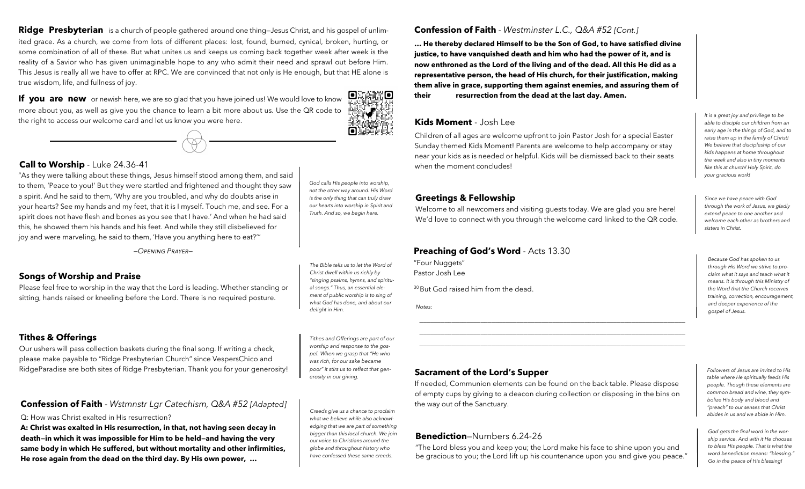**Ridge Presbyterian** is a church of people gathered around one thing—Jesus Christ, and his gospel of unlimited grace. As a church, we come from lots of different places: lost, found, burned, cynical, broken, hurting, or some combination of all of these. But what unites us and keeps us coming back together week after week is the reality of a Savior who has given unimaginable hope to any who admit their need and sprawl out before Him. This Jesus is really all we have to offer at RPC. We are convinced that not only is He enough, but that HE alone is true wisdom, life, and fullness of joy.

**If you are new** or newish here, we are so glad that you have joined us! We would love to know more about you, as well as give you the chance to learn a bit more about us. Use the QR code to the right to access our welcome card and let us know you were here.

#### **Call to Worship** - Luke 24.36-41

"As they were talking about these things, Jesus himself stood among them, and said to them, 'Peace to you!' But they were startled and frightened and thought they saw a spirit. And he said to them, 'Why are you troubled, and why do doubts arise in your hearts? See my hands and my feet, that it is I myself. Touch me, and see. For a spirit does not have flesh and bones as you see that I have.' And when he had said this, he showed them his hands and his feet. And while they still disbelieved for joy and were marveling, he said to them, 'Have you anything here to eat?'"

*—Opening Prayer—*

#### **Songs of Worship and Praise**

Please feel free to worship in the way that the Lord is leading. Whether standing or sitting, hands raised or kneeling before the Lord. There is no required posture.

#### **Tithes & Offerings**

Our ushers will pass collection baskets during the final song. If writing a check, please make payable to "Ridge Presbyterian Church" since VespersChico and RidgeParadise are both sites of Ridge Presbyterian. Thank you for your generosity!

#### **Confession of Faith** - *Wstmnstr Lgr Catechism, Q&A #52 [Adapted]*

Q: How was Christ exalted in His resurrection?

**A: Christ was exalted in His resurrection, in that, not having seen decay in death—in which it was impossible for Him to be held—and having the very same body in which He suffered, but without mortality and other infirmities, He rose again from the dead on the third day. By His own power, …** 

*God calls His people into worship, not the other way around. His Word is the only thing that can truly draw our hearts into worship in Spirit and Truth. And so, we begin here.* 

п

10

*The Bible tells us to let the Word of Christ dwell within us richly by "singing psalms, hymns, and spiritual songs." Thus, an essential element of public worship is to sing of what God has done, and about our delight in Him.* 

*Tithes and Offerings are part of our worship and response to the gospel. When we grasp that "He who was rich, for our sake became poor" it stirs us to reflect that generosity in our giving.*

*Creeds give us a chance to proclaim what we believe while also acknowledging that we are part of something bigger than this local church. We join our voice to Christians around the globe and throughout history who have confessed these same creeds.*

#### **Confession of Faith** - *Westminster L.C., Q&A #52 [Cont.]*

**… He thereby declared Himself to be the Son of God, to have satisfied divine justice, to have vanquished death and him who had the power of it, and is now enthroned as the Lord of the living and of the dead. All this He did as a representative person, the head of His church, for their justification, making them alive in grace, supporting them against enemies, and assuring them of their resurrection from the dead at the last day. Amen.** 

#### **Kids Moment** - Josh Lee

Children of all ages are welcome upfront to join Pastor Josh for a special Easter Sunday themed Kids Moment! Parents are welcome to help accompany or stay near your kids as is needed or helpful. Kids will be dismissed back to their seats when the moment concludes!

#### **Greetings & Fellowship**

Welcome to all newcomers and visiting guests today. We are glad you are here! We'd love to connect with you through the welcome card linked to the QR code.

#### **Preaching of God's Word** - Acts 13.30

"Four Nuggets" Pastor Josh Lee

<sup>30</sup> But God raised him from the dead.

*Notes:*

#### **Sacrament of the Lord's Supper**

If needed, Communion elements can be found on the back table. Please dispose of empty cups by giving to a deacon during collection or disposing in the bins on the way out of the Sanctuary.

\_\_\_\_\_\_\_\_\_\_\_\_\_\_\_\_\_\_\_\_\_\_\_\_\_\_\_\_\_\_\_\_\_\_\_\_\_\_\_\_\_\_\_\_\_\_\_\_\_\_\_\_\_\_\_\_\_\_\_\_\_\_\_\_\_\_\_\_\_\_\_\_\_\_ \_\_\_\_\_\_\_\_\_\_\_\_\_\_\_\_\_\_\_\_\_\_\_\_\_\_\_\_\_\_\_\_\_\_\_\_\_\_\_\_\_\_\_\_\_\_\_\_\_\_\_\_\_\_\_\_\_\_\_\_\_\_\_\_\_\_\_\_\_\_\_\_\_\_ \_\_\_\_\_\_\_\_\_\_\_\_\_\_\_\_\_\_\_\_\_\_\_\_\_\_\_\_\_\_\_\_\_\_\_\_\_\_\_\_\_\_\_\_\_\_\_\_\_\_\_\_\_\_\_\_\_\_\_\_\_\_\_\_\_\_\_\_\_\_\_\_\_\_

#### **Benediction**—Numbers 6.24-26

"The Lord bless you and keep you; the Lord make his face to shine upon you and be gracious to you; the Lord lift up his countenance upon you and give you peace."

*It is a great joy and privilege to be able to disciple our children from an early age in the things of God, and to raise them up in the family of Christ! We believe that discipleship of our kids happens at home throughout the week and also in tiny moments like this at church! Holy Spirit, do your gracious work!* 

*Since we have peace with God through the work of Jesus, we gladly extend peace to one another and welcome each other as brothers and sisters in Christ.* 

*Because God has spoken to us through His Word we strive to proclaim what it says and teach what it means. It is through this Ministry of the Word that the Church receives training, correction, encouragement, and deeper experience of the gospel of Jesus.*

*Followers of Jesus are invited to His table where He spiritually feeds His people. Though these elements are common bread and wine, they symbolize His body and blood and "preach" to our senses that Christ abides in us and we abide in Him.* 

*God gets the final word in the worship service. And with it He chooses to bless His people. That is what the word benediction means: "blessing." Go in the peace of His blessing!*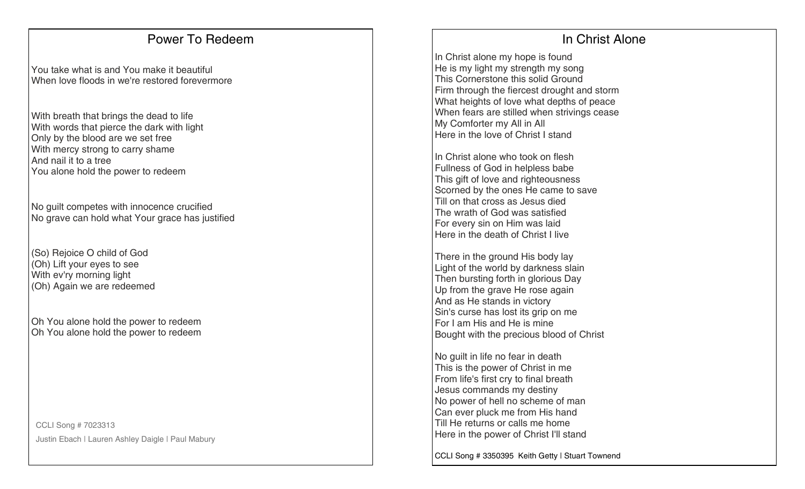### Power To Redeem

You take what is and You make it beautiful When love floods in we're restored forevermore

With breath that brings the dead to life With words that pierce the dark with light Only by the blood are we set free With mercy strong to carry shame And nail it to a tree You alone hold the power to redeem

No guilt competes with innocence crucified No grave can hold what Your grace has justified

(So) Rejoice O child of God (Oh) Lift your eyes to see With ev'ry morning light (Oh) Again we are redeemed

Oh You alone hold the power to redeem Oh You alone hold the power to redeem

CCLI Song # 7023313 Justin Ebach | Lauren Ashley Daigle | Paul Mabury

# In Christ Alone

In Christ alone my hope is found He is my light my strength my song This Cornerstone this solid Ground Firm through the fiercest drought and storm What heights of love what depths of peace When fears are stilled when strivings cease My Comforter my All in All Here in the love of Christ I stand

In Christ alone who took on flesh Fullness of God in helpless babe This gift of love and righteousness Scorned by the ones He came to save Till on that cross as Jesus died The wrath of God was satisfied For every sin on Him was laid Here in the death of Christ I live

There in the ground His body lay Light of the world by darkness slain Then bursting forth in glorious Day Up from the grave He rose again And as He stands in victory Sin's curse has lost its grip on me For I am His and He is mine Bought with the precious blood of Christ

No guilt in life no fear in death This is the power of Christ in me From life's first cry to final breath Jesus commands my destiny No power of hell no scheme of man Can ever pluck me from His hand Till He returns or calls me home Here in the power of Christ I'll stand

CCLI Song # 3350395 Keith Getty | Stuart Townend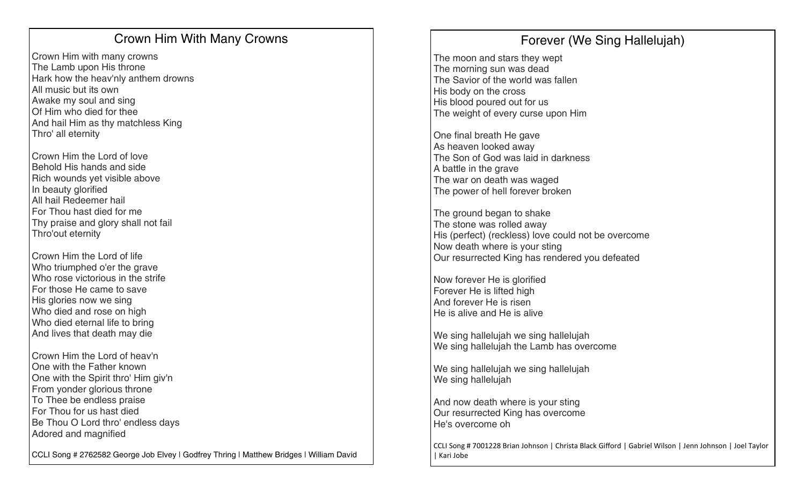# Crown Him With Many Crowns

Crown Him with many crowns The Lamb upon His throne Hark how the heav'nly anthem drowns All music but its own Awake my soul and sing Of Him who died for thee And hail Him as thy matchless King Thro' all eternity

Crown Him the Lord of love Behold His hands and side Rich wounds yet visible above In beauty glorified All hail Redeemer hail For Thou hast died for me Thy praise and glory shall not fail Thro'out eternity

Crown Him the Lord of life Who triumphed o'er the grave Who rose victorious in the strife For those He came to save His glories now we sing Who died and rose on high Who died eternal life to bring And lives that death may die

Crown Him the Lord of heav'n One with the Father known One with the Spirit thro' Him giv'n From yonder glorious throne To Thee be endless praise For Thou for us hast died Be Thou O Lord thro' endless days Adored and magnified

CCLI Song # 2762582 George Job Elvey | Godfrey Thring | Matthew Bridges | William David

# Forever (We Sing Hallelujah)

The moon and stars they wept The morning sun was dead The Savior of the world was fallen His body on the cross His blood poured out for us The weight of every curse upon Him

One final breath He gave As heaven looked away The Son of God was laid in darkness A battle in the grave The war on death was waged The power of hell forever broken

The ground began to shake The stone was rolled away His (perfect) (reckless) love could not be overcome Now death where is your sting Our resurrected King has rendered you defeated

Now forever He is glorified Forever He is lifted high And forever He is risen He is alive and He is alive

We sing hallelujah we sing hallelujah We sing hallelujah the Lamb has overcome

We sing hallelujah we sing hallelujah We sing hallelujah

And now death where is your sting Our resurrected King has overcome He's overcome oh

CCLI Song # 7001228 Brian Johnson | Christa Black Gifford | Gabriel Wilson | Jenn Johnson | Joel Taylor | Kari Jobe